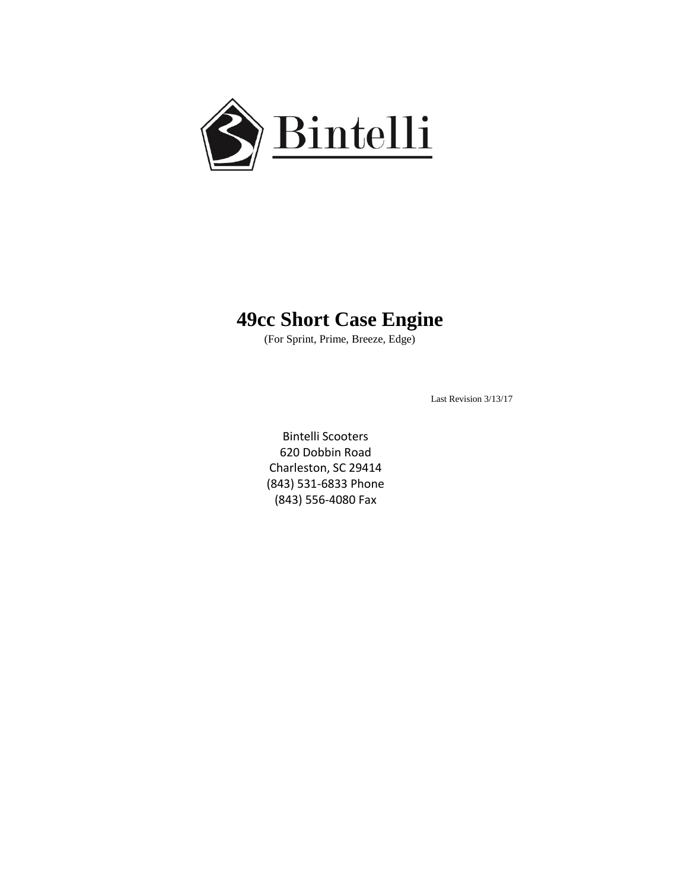

## **49cc Short Case Engine**

(For Sprint, Prime, Breeze, Edge)

Last Revision 3/13/17

Bintelli Scooters 620 Dobbin Road Charleston, SC 29414 (843) 531-6833 Phone (843) 556-4080 Fax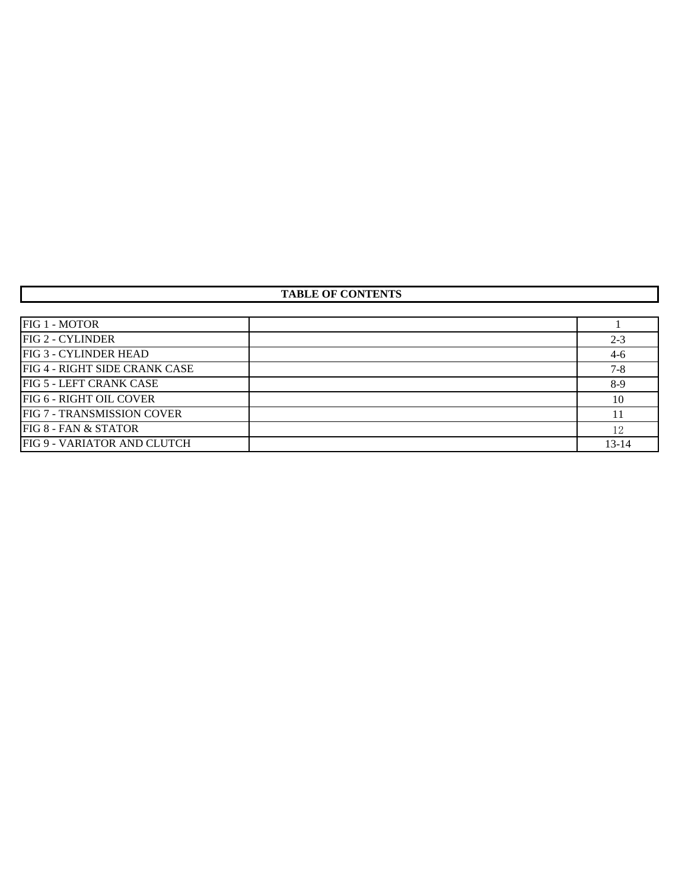## **TABLE OF CONTENTS**

| FIG 1 - MOTOR                 |           |
|-------------------------------|-----------|
| <b>FIG 2 - CYLINDER</b>       | $2 - 3$   |
| <b>FIG 3 - CYLINDER HEAD</b>  | $4-6$     |
| FIG 4 - RIGHT SIDE CRANK CASE | $7 - 8$   |
| FIG 5 - LEFT CRANK CASE       | $8-9$     |
| FIG 6 - RIGHT OIL COVER       | 10        |
| FIG 7 - TRANSMISSION COVER    |           |
| FIG 8 - FAN & STATOR          | 12        |
| FIG 9 - VARIATOR AND CLUTCH   | $13 - 14$ |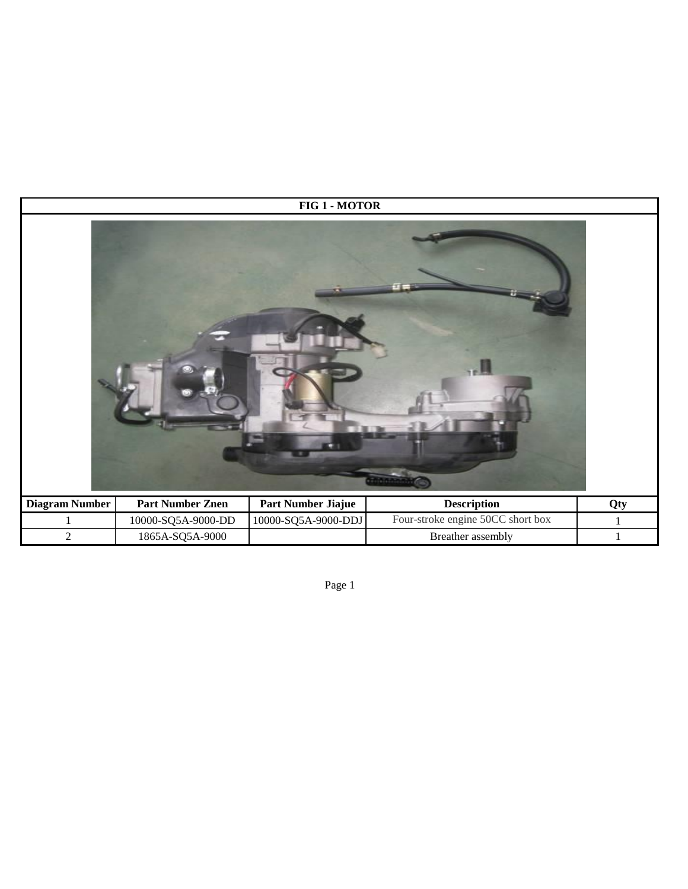|                       | FIG 1 - MOTOR           |                     |                                   |              |  |
|-----------------------|-------------------------|---------------------|-----------------------------------|--------------|--|
|                       |                         |                     |                                   |              |  |
| <b>Diagram Number</b> | <b>Part Number Znen</b> | Part Number Jiajue  | <b>Description</b>                | Qty          |  |
|                       | 10000-SQ5A-9000-DD      | 10000-SQ5A-9000-DDJ | Four-stroke engine 50CC short box |              |  |
| $\sqrt{2}$            | 1865A-SQ5A-9000         |                     | Breather assembly                 | $\mathbf{1}$ |  |

Page 1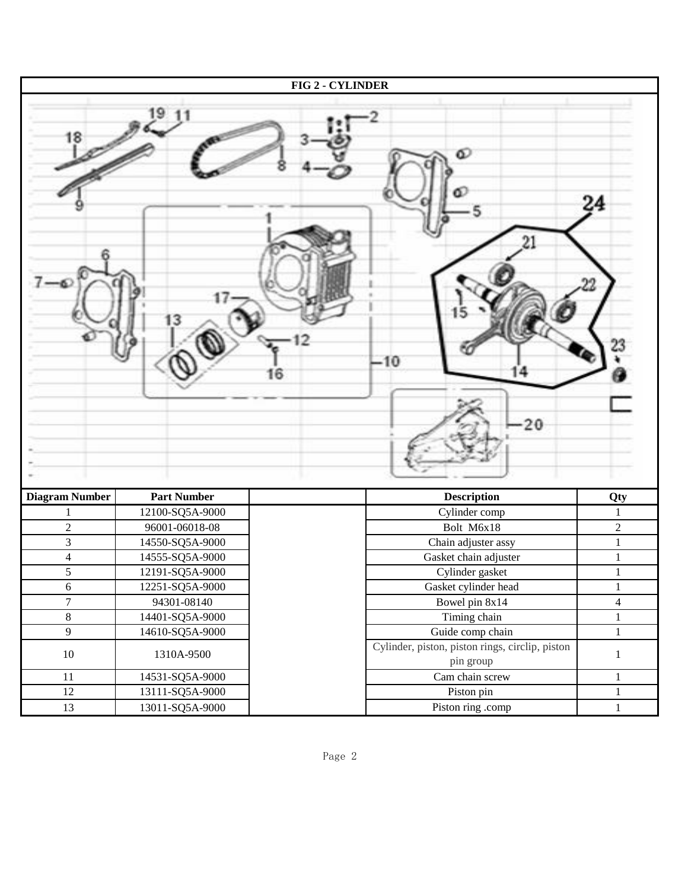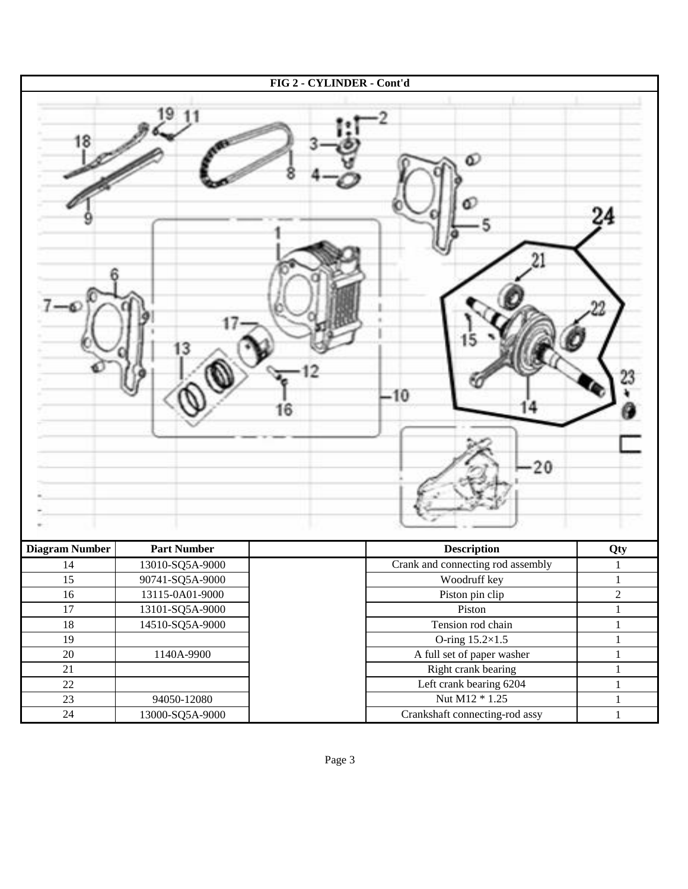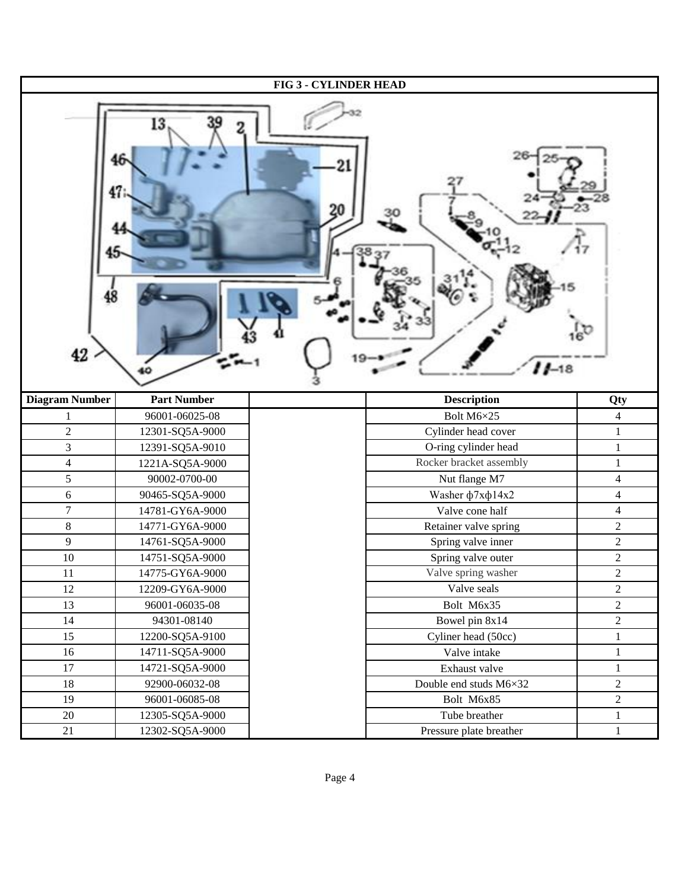| <b>FIG 3 - CYLINDER HEAD</b> |                    |                         |                |  |
|------------------------------|--------------------|-------------------------|----------------|--|
| 42                           | 13                 | 20<br>$11 - 18$         |                |  |
| <b>Diagram Number</b>        | <b>Part Number</b> | <b>Description</b>      | Qty            |  |
| 1                            | 96001-06025-08     | Bolt M6×25              | $\overline{4}$ |  |
| $\overline{2}$               | 12301-SQ5A-9000    | Cylinder head cover     | $\mathbf{1}$   |  |
| 3                            | 12391-SQ5A-9010    | O-ring cylinder head    | $\,1$          |  |
| $\overline{4}$               | 1221A-SQ5A-9000    | Rocker bracket assembly | $\mathbf{1}$   |  |
| 5                            | 90002-0700-00      | Nut flange M7           | $\overline{4}$ |  |
| 6                            | 90465-SQ5A-9000    | Washer ф7хф14х2         | $\overline{4}$ |  |
| $\boldsymbol{7}$             | 14781-GY6A-9000    | Valve cone half         | $\overline{4}$ |  |
| $8\,$                        | 14771-GY6A-9000    | Retainer valve spring   | $\overline{2}$ |  |
| $\overline{9}$               | 14761-SQ5A-9000    | Spring valve inner      | $\overline{2}$ |  |
| 10                           | 14751-SQ5A-9000    | Spring valve outer      | $\overline{c}$ |  |
| $11\,$                       | 14775-GY6A-9000    | Valve spring washer     | $\sqrt{2}$     |  |
| 12                           | 12209-GY6A-9000    | Valve seals             | $\overline{2}$ |  |
| 13                           | 96001-06035-08     | Bolt M6x35              | $\overline{2}$ |  |
| 14                           | 94301-08140        | Bowel pin 8x14          | $\overline{c}$ |  |
| 15                           | 12200-SQ5A-9100    | Cyliner head (50cc)     | $\mathbf 1$    |  |
| 16                           | 14711-SQ5A-9000    | Valve intake            | $\mathbf{1}$   |  |
| $17\,$                       | 14721-SQ5A-9000    | Exhaust valve           | $\mathbf{1}$   |  |
| 18                           | 92900-06032-08     | Double end studs M6×32  | $\overline{c}$ |  |
| 19                           | 96001-06085-08     | Bolt M6x85              | $\sqrt{2}$     |  |
| 20                           | 12305-SQ5A-9000    | Tube breather           | $\mathbf{1}$   |  |
| 21                           | 12302-SQ5A-9000    | Pressure plate breather | $\mathbf{1}$   |  |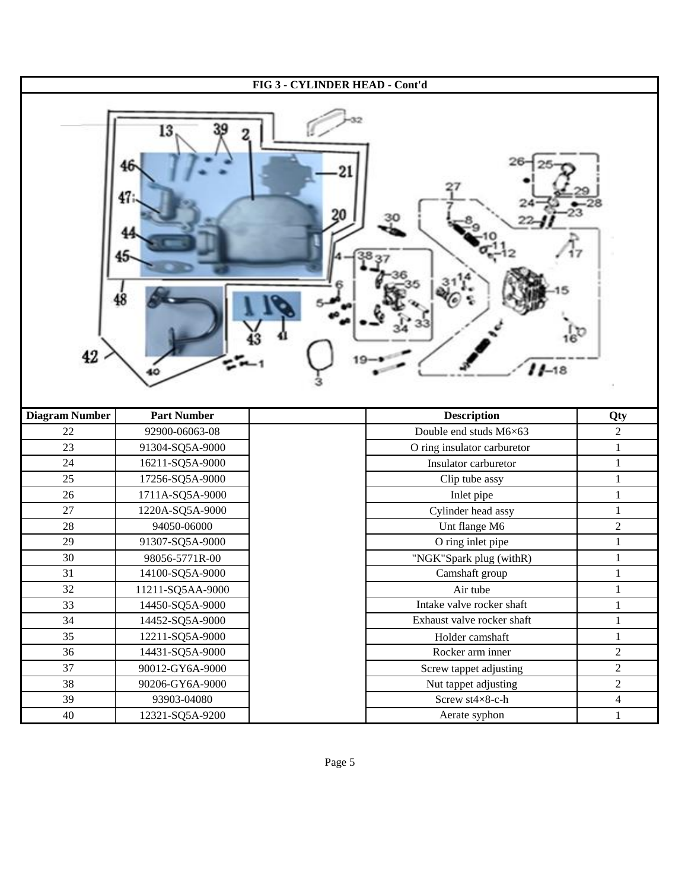| FIG 3 - CYLINDER HEAD - Cont'd |                    |                             |                  |  |
|--------------------------------|--------------------|-----------------------------|------------------|--|
| 42                             | 13                 | $11 - 18$                   |                  |  |
|                                |                    |                             |                  |  |
| <b>Diagram Number</b>          | <b>Part Number</b> | <b>Description</b>          | Qty              |  |
| $22\,$                         | 92900-06063-08     | Double end studs M6×63      | $\overline{2}$   |  |
| 23                             | 91304-SQ5A-9000    | O ring insulator carburetor | $\mathbf 1$      |  |
| 24                             | 16211-SQ5A-9000    | Insulator carburetor        | $\mathbf{1}$     |  |
| 25                             | 17256-SQ5A-9000    | Clip tube assy              | $\mathbf{1}$     |  |
| 26                             | 1711A-SQ5A-9000    | Inlet pipe                  | $\,1\,$          |  |
| $27\,$                         | 1220A-SQ5A-9000    | Cylinder head assy          | $\mathbf{1}$     |  |
| 28                             | 94050-06000        | Unt flange M6               | $\overline{2}$   |  |
| 29                             | 91307-SQ5A-9000    | O ring inlet pipe           | $\,1\,$          |  |
| 30                             | 98056-5771R-00     | "NGK"Spark plug (withR)     | $\,1\,$          |  |
| 31                             | 14100-SQ5A-9000    | Camshaft group              | $\mathbf{1}$     |  |
| 32                             | 11211-SQ5AA-9000   | Air tube                    | $\mathbf{1}$     |  |
| 33                             | 14450-SQ5A-9000    | Intake valve rocker shaft   | $\mathbf{1}$     |  |
| 34                             | 14452-SQ5A-9000    | Exhaust valve rocker shaft  | $\mathbf{1}$     |  |
| 35                             | 12211-SQ5A-9000    | Holder camshaft             | $\mathbf 1$      |  |
| 36                             | 14431-SQ5A-9000    | Rocker arm inner            | $\sqrt{2}$       |  |
| 37                             | 90012-GY6A-9000    | Screw tappet adjusting      | $\boldsymbol{2}$ |  |
| 38                             | 90206-GY6A-9000    | Nut tappet adjusting        | $\sqrt{2}$       |  |
| 39                             | 93903-04080        | Screw st $4\times8$ -c-h    | $\overline{4}$   |  |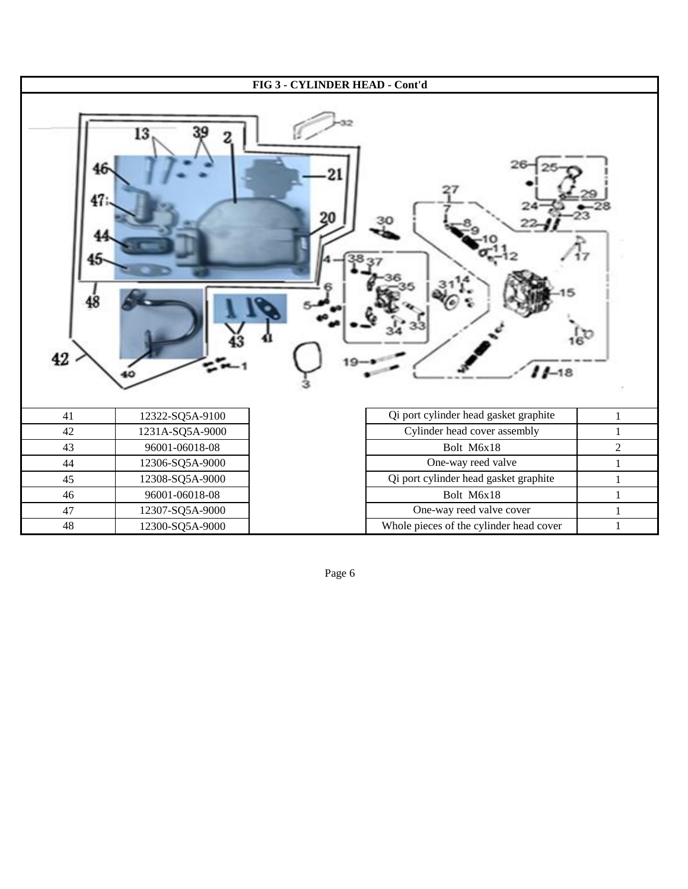

Page 6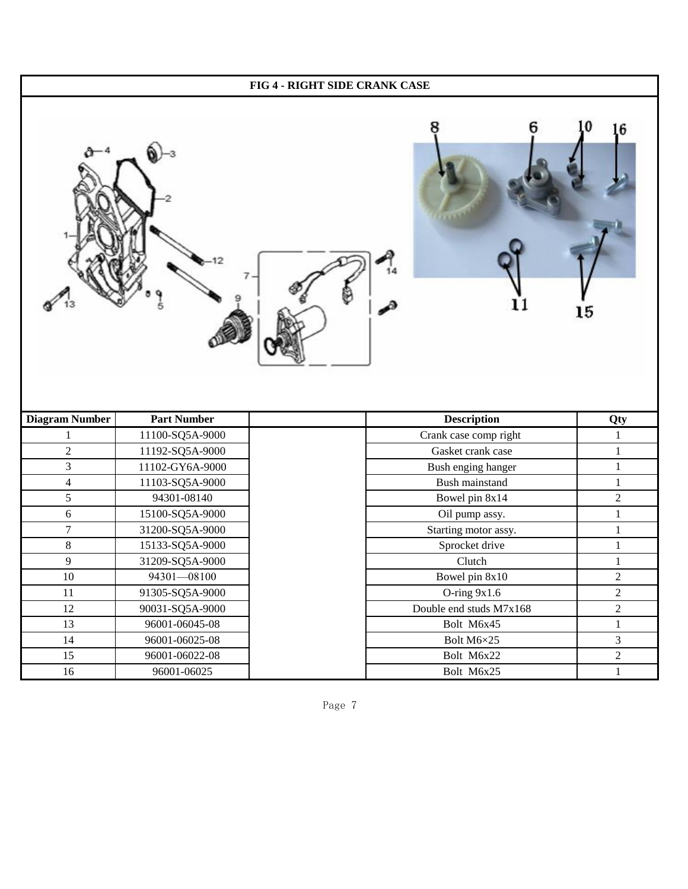| FIG 4 - RIGHT SIDE CRANK CASE |                    |  |                         |                |  |
|-------------------------------|--------------------|--|-------------------------|----------------|--|
|                               |                    |  |                         | 6<br>15        |  |
| <b>Diagram Number</b>         | <b>Part Number</b> |  | <b>Description</b>      | Qty            |  |
| 1                             | 11100-SQ5A-9000    |  | Crank case comp right   | $\mathbf{1}$   |  |
| $\sqrt{2}$                    | 11192-SQ5A-9000    |  | Gasket crank case       | $\mathbf{1}$   |  |
| 3                             | 11102-GY6A-9000    |  | Bush enging hanger      | $\,1\,$        |  |
| $\overline{4}$                | 11103-SQ5A-9000    |  | Bush mainstand          | $\mathbf{1}$   |  |
| 5                             | 94301-08140        |  | Bowel pin 8x14          | $\sqrt{2}$     |  |
| $\sqrt{6}$                    | 15100-SQ5A-9000    |  | Oil pump assy.          | $\mathbf 1$    |  |
| $\boldsymbol{7}$              | 31200-SQ5A-9000    |  | Starting motor assy.    | $\mathbf{1}$   |  |
| $\,8\,$                       | 15133-SQ5A-9000    |  | Sprocket drive          | $\mathbf{1}$   |  |
| 9                             | 31209-SQ5A-9000    |  | Clutch                  | $\mathbf{1}$   |  |
| $10\,$                        | 94301-08100        |  | Bowel pin 8x10          | $\sqrt{2}$     |  |
| 11                            | 91305-SQ5A-9000    |  | O-ring 9x1.6            | $\sqrt{2}$     |  |
| $12\,$                        | 90031-SQ5A-9000    |  | Double end studs M7x168 | $\sqrt{2}$     |  |
| 13                            | 96001-06045-08     |  | Bolt M6x45              | $\,1$          |  |
| 14                            | 96001-06025-08     |  | Bolt M6×25              | $\mathfrak{Z}$ |  |
| 15                            | 96001-06022-08     |  | Bolt M6x22              | $\sqrt{2}$     |  |
| $16\,$                        | 96001-06025        |  | Bolt M6x25              | $\mathbf{1}$   |  |

Page 7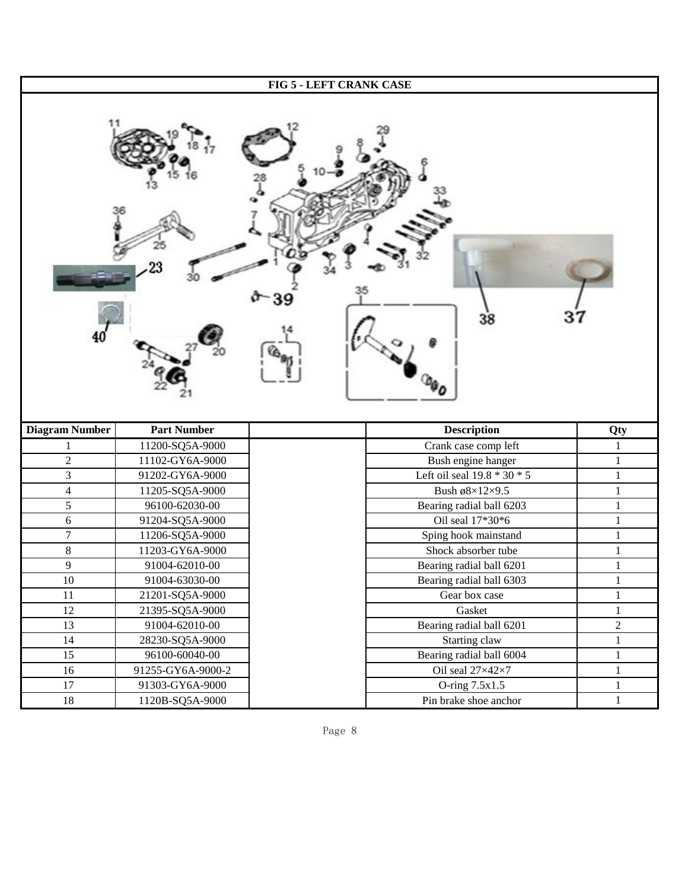| FIG 5 - LEFT CRANK CASE |                    |                               |                |  |
|-------------------------|--------------------|-------------------------------|----------------|--|
|                         |                    | 38                            |                |  |
| <b>Diagram Number</b>   | <b>Part Number</b> | <b>Description</b>            | Qty            |  |
|                         | 11200-SQ5A-9000    | Crank case comp left          |                |  |
| $\sqrt{2}$              | 11102-GY6A-9000    | Bush engine hanger            | $\mathbf{1}$   |  |
| 3                       | 91202-GY6A-9000    | Left oil seal $19.8 * 30 * 5$ | $\mathbf{1}$   |  |
| $\overline{4}$          | 11205-SQ5A-9000    | Bush ø8×12×9.5                | $\mathbf{1}$   |  |
| $\overline{5}$          | 96100-62030-00     | Bearing radial ball 6203      | $\mathbf{1}$   |  |
| $6\,$                   | 91204-SQ5A-9000    | Oil seal 17*30*6              | $\mathbf{1}$   |  |
| $\boldsymbol{7}$        | 11206-SQ5A-9000    | Sping hook mainstand          | $\mathbf{1}$   |  |
| $8\,$                   | 11203-GY6A-9000    | Shock absorber tube           | $\mathbf{1}$   |  |
| 9                       | 91004-62010-00     | Bearing radial ball 6201      | $\mathbf{1}$   |  |
| $10\,$                  | 91004-63030-00     | Bearing radial ball 6303      | 1              |  |
| $11\,$                  | 21201-SQ5A-9000    | Gear box case                 | $\,1$          |  |
| 12                      | 21395-SQ5A-9000    | Gasket                        | $\mathbf{1}$   |  |
| 13                      | 91004-62010-00     | Bearing radial ball 6201      | $\overline{c}$ |  |
| 14                      | 28230-SQ5A-9000    | Starting claw                 | $\mathbf{1}$   |  |
| 15                      | 96100-60040-00     | Bearing radial ball 6004      | $\mathbf{1}$   |  |
| $16\,$                  | 91255-GY6A-9000-2  | Oil seal 27×42×7              | $\mathbf{1}$   |  |
| 17                      | 91303-GY6A-9000    | O-ring 7.5x1.5                | $\mathbf{1}$   |  |
| $18\,$                  | 1120B-SQ5A-9000    | Pin brake shoe anchor         | $\mathbf{1}$   |  |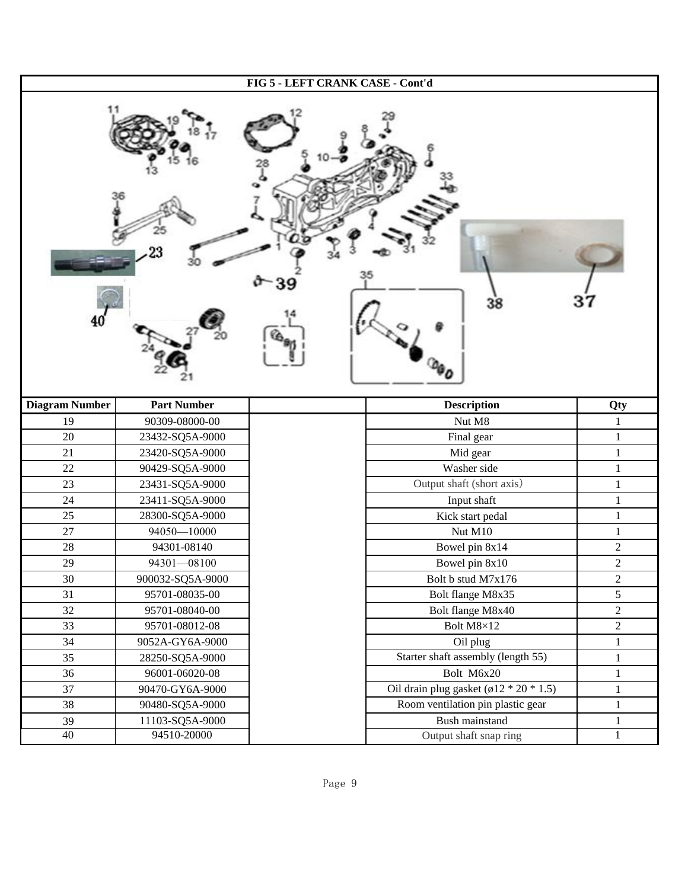| FIG 5 - LEFT CRANK CASE - Cont'd |                    |  |                                               |                |
|----------------------------------|--------------------|--|-----------------------------------------------|----------------|
|                                  |                    |  | 38                                            |                |
| <b>Diagram Number</b>            | <b>Part Number</b> |  | <b>Description</b>                            | Qty            |
| 19                               | 90309-08000-00     |  | Nut M8                                        | $\mathbf{1}$   |
| 20                               | 23432-SQ5A-9000    |  | Final gear                                    | $\mathbf{1}$   |
| 21                               | 23420-SQ5A-9000    |  | Mid gear                                      | $\mathbf{1}$   |
| 22                               | 90429-SQ5A-9000    |  | Washer side                                   | $\mathbf{1}$   |
| 23                               | 23431-SQ5A-9000    |  | Output shaft (short axis)                     | $\mathbf{1}$   |
| 24                               | 23411-SQ5A-9000    |  | Input shaft                                   | $\mathbf{1}$   |
| 25                               | 28300-SQ5A-9000    |  | Kick start pedal                              | $\mathbf{1}$   |
| 27                               | 94050-10000        |  | Nut M10                                       | 1              |
| $28\,$                           | 94301-08140        |  | Bowel pin 8x14                                | $\overline{c}$ |
| 29                               | 94301-08100        |  | Bowel pin 8x10                                | $\overline{2}$ |
| 30                               | 900032-SQ5A-9000   |  | Bolt b stud M7x176                            | $\overline{c}$ |
| 31                               | 95701-08035-00     |  | Bolt flange M8x35                             | 5              |
| 32                               | 95701-08040-00     |  | Bolt flange M8x40                             | $\sqrt{2}$     |
| 33                               | 95701-08012-08     |  | Bolt M8×12                                    | $\overline{c}$ |
| 34                               | 9052A-GY6A-9000    |  | Oil plug                                      | $\mathbf{1}$   |
| 35                               | 28250-SQ5A-9000    |  | Starter shaft assembly (length 55)            | $\mathbf{1}$   |
| 36                               | 96001-06020-08     |  | Bolt M6x20                                    | $\mathbf{1}$   |
| 37                               | 90470-GY6A-9000    |  | Oil drain plug gasket ( $\phi$ 12 * 20 * 1.5) | $\mathbf{1}$   |
| 38                               | 90480-SQ5A-9000    |  | Room ventilation pin plastic gear             | $\mathbf{1}$   |
| 39                               | 11103-SQ5A-9000    |  | Bush mainstand                                | $\mathbf{1}$   |
| 40                               | 94510-20000        |  | Output shaft snap ring                        | $\mathbf{1}$   |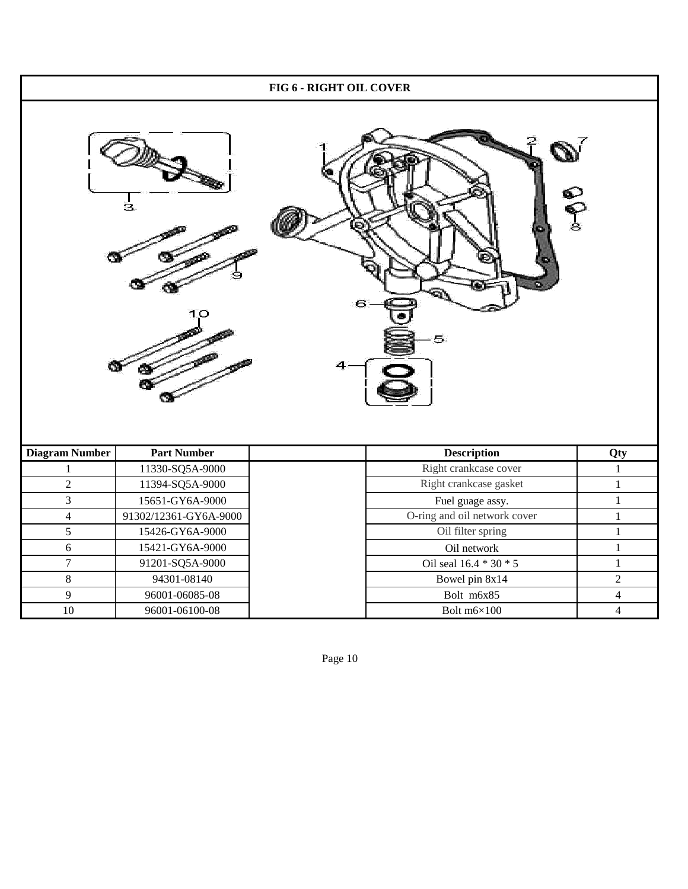| FIG 6 - RIGHT OIL COVER               |                       |                                          |                |  |
|---------------------------------------|-----------------------|------------------------------------------|----------------|--|
| <b>eg</b> ®<br>з<br>6<br>10<br>5<br>4 |                       |                                          |                |  |
| <b>Diagram Number</b>                 | <b>Part Number</b>    | <b>Description</b>                       | Qty            |  |
| $\mathbf{1}$                          | 11330-SQ5A-9000       | Right crankcase cover                    | $\mathbf{1}$   |  |
| $\sqrt{2}$                            | 11394-SQ5A-9000       | Right crankcase gasket                   | $\mathbf{1}$   |  |
| $\overline{3}$                        | 15651-GY6A-9000       | Fuel guage assy.                         |                |  |
| $\overline{4}$                        |                       |                                          | $\mathbf{1}$   |  |
|                                       | 91302/12361-GY6A-9000 | O-ring and oil network cover             | $\mathbf{1}$   |  |
| 5                                     | 15426-GY6A-9000       | Oil filter spring                        | $\,1$          |  |
| 6                                     | 15421-GY6A-9000       | Oil network                              | $\mathbf{1}$   |  |
| $\boldsymbol{7}$                      | 91201-SQ5A-9000       |                                          | $\mathbf{1}$   |  |
| $\,8\,$                               | 94301-08140           | Oil seal 16.4 * 30 * 5<br>Bowel pin 8x14 | $\sqrt{2}$     |  |
| $\overline{9}$                        | 96001-06085-08        | Bolt m6x85                               | $\overline{4}$ |  |

Page 10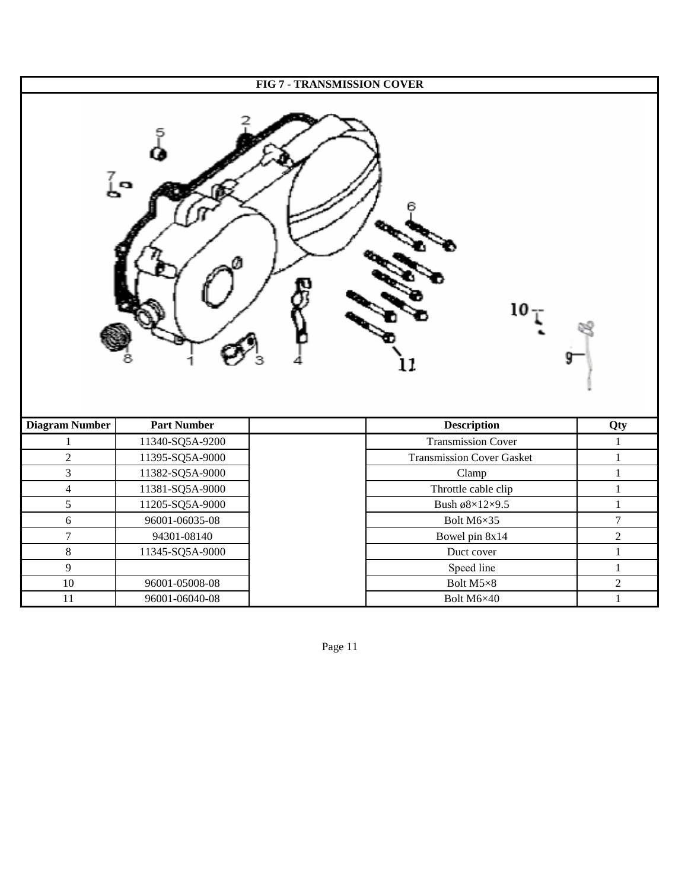|                       | <b>FIG 7 - TRANSMISSION COVER</b> |                                  |                  |  |  |
|-----------------------|-----------------------------------|----------------------------------|------------------|--|--|
|                       | ្ត្រី                             | 10                               |                  |  |  |
| <b>Diagram Number</b> | <b>Part Number</b>                | <b>Description</b>               | Qty              |  |  |
| $\mathbf{1}$          | 11340-SQ5A-9200                   | <b>Transmission Cover</b>        | $\mathbf{1}$     |  |  |
| $\overline{c}$        | 11395-SQ5A-9000                   | <b>Transmission Cover Gasket</b> | $\mathbf{1}$     |  |  |
| 3                     | 11382-SQ5A-9000                   | Clamp                            | $\mathbf{1}$     |  |  |
| $\overline{4}$        | 11381-SQ5A-9000                   | Throttle cable clip              | $\mathbf{1}$     |  |  |
| 5                     | 11205-SQ5A-9000                   | Bush ø $8\times12\times9.5$      | $\mathbf{1}$     |  |  |
| $\sqrt{6}$            | 96001-06035-08                    | Bolt M6×35                       | $\boldsymbol{7}$ |  |  |
| $\boldsymbol{7}$      | 94301-08140                       | Bowel pin 8x14                   | $\sqrt{2}$       |  |  |
| $\,8\,$               | 11345-SQ5A-9000                   | Duct cover                       | $\mathbf{1}$     |  |  |
| 9                     |                                   | Speed line                       | $\mathbf{1}$     |  |  |
| $10\,$                | 96001-05008-08                    | Bolt M5×8                        | $\sqrt{2}$       |  |  |
| 11                    | 96001-06040-08                    | Bolt M6×40                       | $\mathbf{1}$     |  |  |

Page 11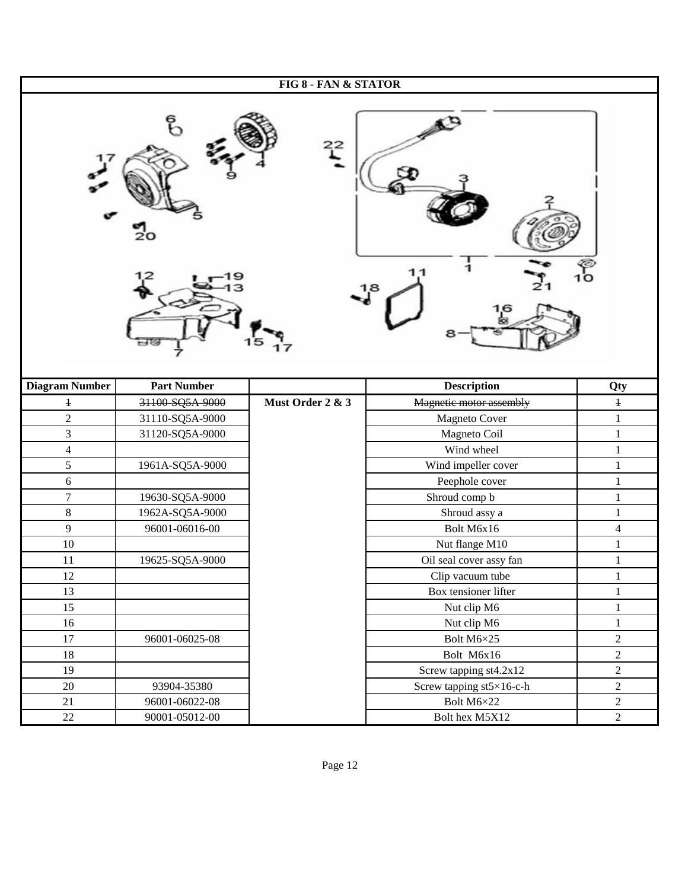| FIG 8 - FAN & STATOR  |                    |                  |                                  |                                        |  |
|-----------------------|--------------------|------------------|----------------------------------|----------------------------------------|--|
| ႄ<br>$^{22}$<br>1.8   |                    |                  |                                  |                                        |  |
| <b>Diagram Number</b> | <b>Part Number</b> |                  | <b>Description</b>               | Qty                                    |  |
| $\ddagger$            | 31100-SQ5A-9000    | Must Order 2 & 3 | Magnetic motor assembly          | $\ensuremath{\textnormal{\textbf{+}}}$ |  |
| $\overline{c}$        | 31110-SQ5A-9000    |                  | Magneto Cover                    | $\mathbf{1}$                           |  |
| 3                     | 31120-SQ5A-9000    |                  | Magneto Coil                     | $\mathbf{1}$                           |  |
| $\overline{4}$        |                    |                  | Wind wheel                       | $\mathbf{1}$                           |  |
| 5                     | 1961A-SQ5A-9000    |                  | Wind impeller cover              | $\mathbf{1}$                           |  |
| 6                     |                    |                  | Peephole cover                   | 1                                      |  |
| $\overline{7}$        | 19630-SQ5A-9000    |                  | Shroud comp b                    | $\,1\,$                                |  |
| $8\,$                 | 1962A-SQ5A-9000    |                  | Shroud assy a                    | $\mathbf 1$                            |  |
| 9                     | 96001-06016-00     |                  | Bolt M6x16                       | $\overline{4}$                         |  |
| $10\,$                |                    |                  | Nut flange M10                   | $\mathbf 1$                            |  |
| 11                    | 19625-SQ5A-9000    |                  | Oil seal cover assy fan          | $\mathbf{1}$                           |  |
| 12                    |                    |                  | Clip vacuum tube                 | $\,1\,$                                |  |
| 13                    |                    |                  | Box tensioner lifter             | $\mathbf{1}$                           |  |
| 15                    |                    |                  | Nut clip M6                      | $\mathbf{1}$                           |  |
| 16                    |                    |                  | Nut clip M6                      | $\mathbf{1}$                           |  |
| 17                    | 96001-06025-08     |                  | Bolt M6×25                       | $\sqrt{2}$                             |  |
| $18\,$                |                    |                  | Bolt M6x16                       | $\overline{2}$                         |  |
| 19                    |                    |                  | Screw tapping st4.2x12           | $\overline{2}$                         |  |
| 20                    | 93904-35380        |                  | Screw tapping $st5\times16$ -c-h | $\sqrt{2}$                             |  |
| 21                    | 96001-06022-08     |                  | Bolt M6×22                       | $\overline{2}$                         |  |
| $22\,$                | 90001-05012-00     |                  | Bolt hex M5X12                   | $\overline{2}$                         |  |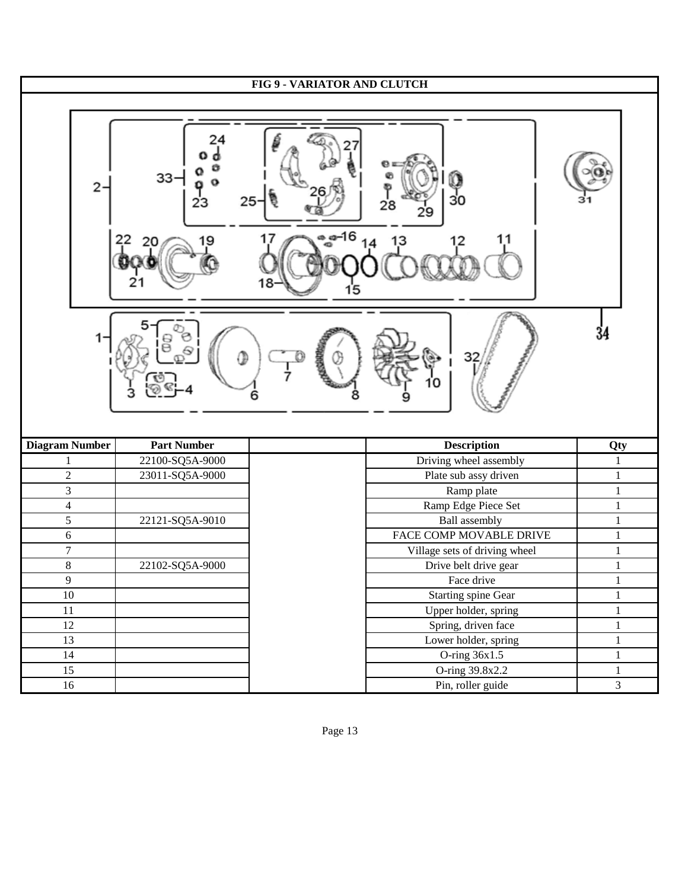